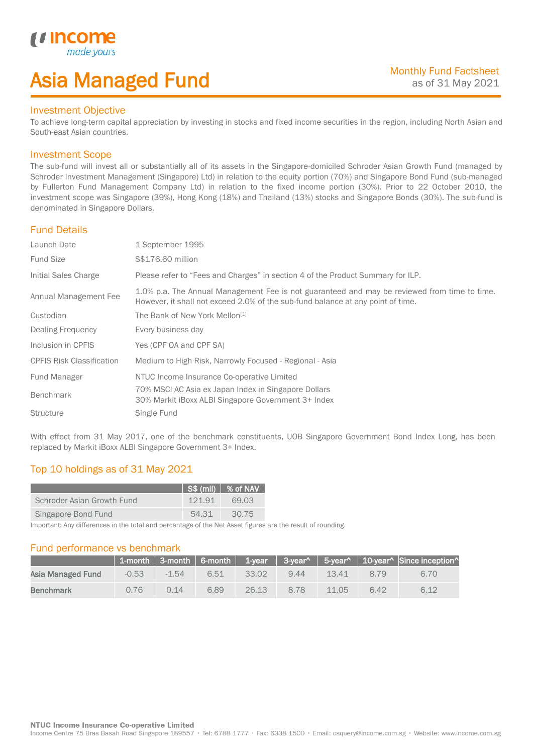# Asia Managed Fund

### Investment Objective

*u* incon

I

To achieve long-term capital appreciation by investing in stocks and fixed income securities in the region, including North Asian and South-east Asian countries.

## Investment Scope

The sub-fund will invest all or substantially all of its assets in the Singapore-domiciled Schroder Asian Growth Fund (managed by Schroder Investment Management (Singapore) Ltd) in relation to the equity portion (70%) and Singapore Bond Fund (sub-managed by Fullerton Fund Management Company Ltd) in relation to the fixed income portion (30%). Prior to 22 October 2010, the investment scope was Singapore (39%), Hong Kong (18%) and Thailand (13%) stocks and Singapore Bonds (30%). The sub-fund is denominated in Singapore Dollars.

## Fund Details

| Launch Date                      | 1 September 1995                                                                                                                                                                |
|----------------------------------|---------------------------------------------------------------------------------------------------------------------------------------------------------------------------------|
| <b>Fund Size</b>                 | \$\$176.60 million                                                                                                                                                              |
| Initial Sales Charge             | Please refer to "Fees and Charges" in section 4 of the Product Summary for ILP.                                                                                                 |
| Annual Management Fee            | 1.0% p.a. The Annual Management Fee is not guaranteed and may be reviewed from time to time.<br>However, it shall not exceed 2.0% of the sub-fund balance at any point of time. |
| Custodian                        | The Bank of New York Mellon <sup>[1]</sup>                                                                                                                                      |
| Dealing Frequency                | Every business day                                                                                                                                                              |
| Inclusion in CPFIS               | Yes (CPF OA and CPF SA)                                                                                                                                                         |
| <b>CPFIS Risk Classification</b> | Medium to High Risk, Narrowly Focused - Regional - Asia                                                                                                                         |
| <b>Fund Manager</b>              | NTUC Income Insurance Co-operative Limited                                                                                                                                      |
| <b>Benchmark</b>                 | 70% MSCI AC Asia ex Japan Index in Singapore Dollars<br>30% Markit iBoxx ALBI Singapore Government 3+ Index                                                                     |
| <b>Structure</b>                 | Single Fund                                                                                                                                                                     |

With effect from 31 May 2017, one of the benchmark constituents, UOB Singapore Government Bond Index Long, has been replaced by Markit iBoxx ALBI Singapore Government 3+ Index.

# Top 10 holdings as of 31 May 2021

|                            |        | $ $ S\$ (mil) $ $ % of NAV |
|----------------------------|--------|----------------------------|
| Schroder Asian Growth Fund | 121.91 | 69.03                      |
| Singapore Bond Fund        | 54.31  | 30.75                      |

Important: Any differences in the total and percentage of the Net Asset figures are the result of rounding.

### Fund performance vs benchmark

|                   |         |         |      |       |      |       |      | 1-month   3-month   6-month   1-year   3-year^   5-year^   10-year^   Since inception^ |
|-------------------|---------|---------|------|-------|------|-------|------|----------------------------------------------------------------------------------------|
| Asia Managed Fund | $-0.53$ | $-1.54$ | 6.51 | 33.02 | 9.44 | 13.41 | 8.79 | 6.70                                                                                   |
| <b>Benchmark</b>  | 0.76    | 0.14    | 6.89 | 26.13 | 8.78 | 11.05 | 6.42 | 6.12                                                                                   |